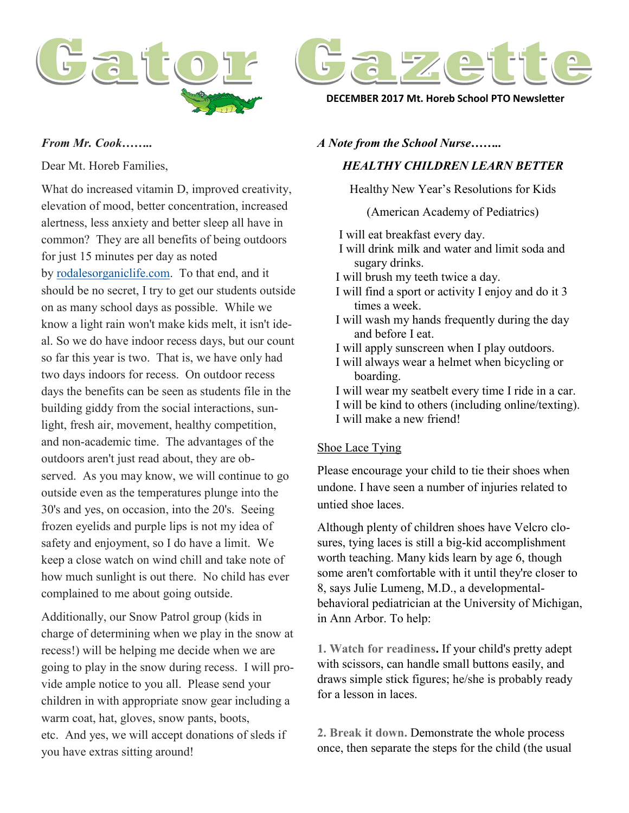



**DECEMBER 2017 Mt. Horeb School PTO Newsletter**

#### *From Mr. Cook……..*

Dear Mt. Horeb Families,

What do increased vitamin D, improved creativity, elevation of mood, better concentration, increased alertness, less anxiety and better sleep all have in common? They are all benefits of being outdoors for just 15 minutes per day as noted by [rodalesorganiclife.com.](http://rodalesorganiclife.com/) To that end, and it should be no secret, I try to get our students outside on as many school days as possible. While we know a light rain won't make kids melt, it isn't ideal. So we do have indoor recess days, but our count so far this year is two. That is, we have only had two days indoors for recess. On outdoor recess days the benefits can be seen as students file in the building giddy from the social interactions, sunlight, fresh air, movement, healthy competition, and non-academic time. The advantages of the outdoors aren't just read about, they are observed. As you may know, we will continue to go outside even as the temperatures plunge into the 30's and yes, on occasion, into the 20's. Seeing frozen eyelids and purple lips is not my idea of safety and enjoyment, so I do have a limit. We keep a close watch on wind chill and take note of how much sunlight is out there. No child has ever complained to me about going outside.

Additionally, our Snow Patrol group (kids in charge of determining when we play in the snow at recess!) will be helping me decide when we are going to play in the snow during recess. I will provide ample notice to you all. Please send your children in with appropriate snow gear including a warm coat, hat, gloves, snow pants, boots, etc. And yes, we will accept donations of sleds if you have extras sitting around!

### *A Note from the School Nurse……..*

# *HEALTHY CHILDREN LEARN BETTER*

Healthy New Year's Resolutions for Kids

(American Academy of Pediatrics)

I will eat breakfast every day. I will drink milk and water and limit soda and sugary drinks. I will brush my teeth twice a day. I will find a sport or activity I enjoy and do it 3 times a week. I will wash my hands frequently during the day and before I eat. I will apply sunscreen when I play outdoors. I will always wear a helmet when bicycling or boarding. I will wear my seatbelt every time I ride in a car. I will be kind to others (including online/texting). I will make a new friend!

## Shoe Lace Tying

Please encourage your child to tie their shoes when undone. I have seen a number of injuries related to untied shoe laces.

Although plenty of children shoes have Velcro closures, tying laces is still a big-kid accomplishment worth teaching. Many kids learn by age 6, though some aren't comfortable with it until they're closer to 8, says Julie Lumeng, M.D., a developmentalbehavioral pediatrician at the University of Michigan, in Ann Arbor. To help:

**1. Watch for readiness.** If your child's pretty adept with scissors, can handle small buttons easily, and draws simple stick figures; he/she is probably ready for a lesson in laces.

**2. Break it down.** Demonstrate the whole process once, then separate the steps for the child (the usual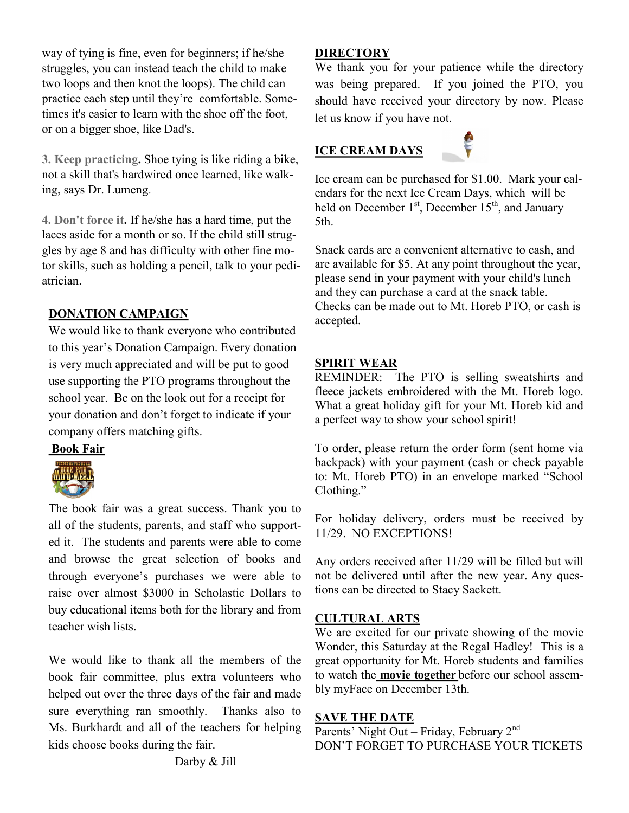way of tying is fine, even for beginners; if he/she struggles, you can instead teach the child to make two loops and then knot the loops). The child can practice each step until they're comfortable. Sometimes it's easier to learn with the shoe off the foot, or on a bigger shoe, like Dad's.

**3. Keep practicing.** Shoe tying is like riding a bike, not a skill that's hardwired once learned, like walking, says Dr. Lumeng.

**4. Don't force it.** If he/she has a hard time, put the laces aside for a month or so. If the child still struggles by age 8 and has difficulty with other fine motor skills, such as holding a pencil, talk to your pediatrician.

## **DONATION CAMPAIGN**

We would like to thank everyone who contributed to this year's Donation Campaign. Every donation is very much appreciated and will be put to good use supporting the PTO programs throughout the school year. Be on the look out for a receipt for your donation and don't forget to indicate if your company offers matching gifts.

**Book Fair**



The book fair was a great success. Thank you to all of the students, parents, and staff who supported it. The students and parents were able to come and browse the great selection of books and through everyone's purchases we were able to raise over almost \$3000 in Scholastic Dollars to buy educational items both for the library and from teacher wish lists.

We would like to thank all the members of the book fair committee, plus extra volunteers who helped out over the three days of the fair and made sure everything ran smoothly. Thanks also to Ms. Burkhardt and all of the teachers for helping kids choose books during the fair.

### **DIRECTORY**

We thank you for your patience while the directory was being prepared. If you joined the PTO, you should have received your directory by now. Please let us know if you have not.

# **ICE CREAM DAYS**



Ice cream can be purchased for \$1.00. Mark your calendars for the next Ice Cream Days, which will be held on December 1<sup>st</sup>, December 15<sup>th</sup>, and January 5th.

Snack cards are a convenient alternative to cash, and are available for \$5. At any point throughout the year, please send in your payment with your child's lunch and they can purchase a card at the snack table. Checks can be made out to Mt. Horeb PTO, or cash is accepted.

## **SPIRIT WEAR**

REMINDER: The PTO is selling sweatshirts and fleece jackets embroidered with the Mt. Horeb logo. What a great holiday gift for your Mt. Horeb kid and a perfect way to show your school spirit!

To order, please return the order form (sent home via backpack) with your payment (cash or check payable to: Mt. Horeb PTO) in an envelope marked "School Clothing."

For holiday delivery, orders must be received by 11/29. NO EXCEPTIONS!

Any orders received after 11/29 will be filled but will not be delivered until after the new year. Any questions can be directed to Stacy Sackett.

# **CULTURAL ARTS**

We are excited for our private showing of the movie Wonder, this Saturday at the Regal Hadley! This is a great opportunity for Mt. Horeb students and families to watch the **movie together** before our school assembly myFace on December 13th.

## **SAVE THE DATE**

Parents' Night Out – Friday, February 2nd DON'T FORGET TO PURCHASE YOUR TICKETS